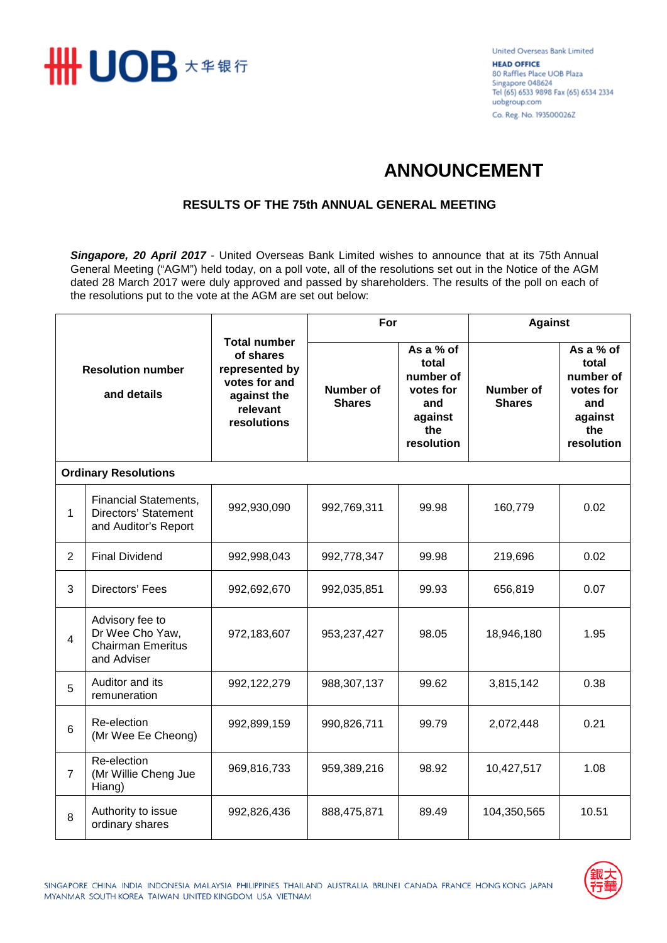

United Overseas Bank Limited **HEAD OFFICE** 80 Raffles Place UOB Plaza Singapore 048624 Tel (65) 6533 9898 Fax (65) 6534 2334 uobgroup.com Co. Reg. No. 193500026Z

## **ANNOUNCEMENT**

## **RESULTS OF THE 75th ANNUAL GENERAL MEETING**

*Singapore, 20 April 2017* - United Overseas Bank Limited wishes to announce that at its 75th Annual General Meeting ("AGM") held today, on a poll vote, all of the resolutions set out in the Notice of the AGM dated 28 March 2017 were duly approved and passed by shareholders. The results of the poll on each of the resolutions put to the vote at the AGM are set out below:

| <b>Resolution number</b><br>and details |                                                                               | <b>Total number</b><br>of shares<br>represented by<br>votes for and<br>against the<br>relevant<br>resolutions | For                        |                                                                                     | <b>Against</b>             |                                                                                     |  |  |  |  |
|-----------------------------------------|-------------------------------------------------------------------------------|---------------------------------------------------------------------------------------------------------------|----------------------------|-------------------------------------------------------------------------------------|----------------------------|-------------------------------------------------------------------------------------|--|--|--|--|
|                                         |                                                                               |                                                                                                               | Number of<br><b>Shares</b> | As a % of<br>total<br>number of<br>votes for<br>and<br>against<br>the<br>resolution | Number of<br><b>Shares</b> | As a % of<br>total<br>number of<br>votes for<br>and<br>against<br>the<br>resolution |  |  |  |  |
| <b>Ordinary Resolutions</b>             |                                                                               |                                                                                                               |                            |                                                                                     |                            |                                                                                     |  |  |  |  |
| 1                                       | <b>Financial Statements,</b><br>Directors' Statement<br>and Auditor's Report  | 992,930,090                                                                                                   | 992,769,311                | 99.98                                                                               | 160,779                    | 0.02                                                                                |  |  |  |  |
| $\overline{2}$                          | <b>Final Dividend</b>                                                         | 992,998,043                                                                                                   | 992,778,347                | 99.98                                                                               | 219,696                    | 0.02                                                                                |  |  |  |  |
| 3                                       | Directors' Fees                                                               | 992,692,670                                                                                                   | 992,035,851                | 99.93                                                                               | 656,819                    | 0.07                                                                                |  |  |  |  |
| 4                                       | Advisory fee to<br>Dr Wee Cho Yaw,<br><b>Chairman Emeritus</b><br>and Adviser | 972,183,607                                                                                                   | 953,237,427                | 98.05                                                                               | 18,946,180                 | 1.95                                                                                |  |  |  |  |
| 5                                       | Auditor and its<br>remuneration                                               | 992,122,279                                                                                                   | 988,307,137                | 99.62                                                                               | 3,815,142                  | 0.38                                                                                |  |  |  |  |
| 6                                       | Re-election<br>(Mr Wee Ee Cheong)                                             | 992,899,159                                                                                                   | 990,826,711                | 99.79                                                                               | 2,072,448                  | 0.21                                                                                |  |  |  |  |
| $\overline{7}$                          | Re-election<br>(Mr Willie Cheng Jue<br>Hiang)                                 | 969,816,733                                                                                                   | 959,389,216                | 98.92                                                                               | 10,427,517                 | 1.08                                                                                |  |  |  |  |
| 8                                       | Authority to issue<br>ordinary shares                                         | 992,826,436                                                                                                   | 888,475,871                | 89.49                                                                               | 104,350,565                | 10.51                                                                               |  |  |  |  |